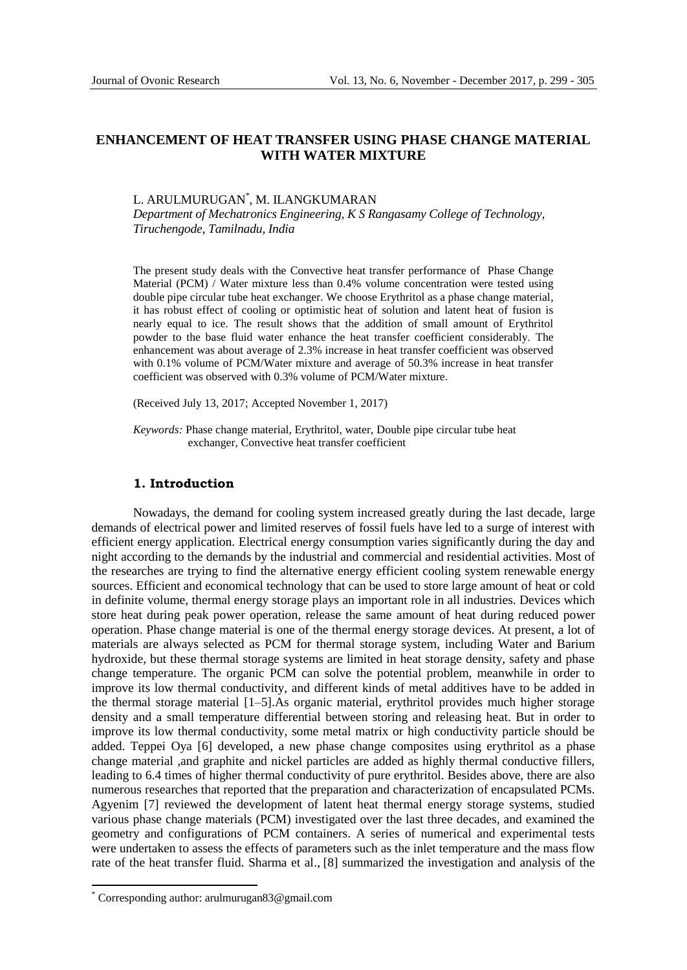# **ENHANCEMENT OF HEAT TRANSFER USING PHASE CHANGE MATERIAL WITH WATER MIXTURE**

# L. ARULMURUGAN\* , M. ILANGKUMARAN

*Department of Mechatronics Engineering, K S Rangasamy College of Technology, Tiruchengode, Tamilnadu, India*

The present study deals with the Convective heat transfer performance of Phase Change Material (PCM) / Water mixture less than 0.4% volume concentration were tested using double pipe circular tube heat exchanger. We choose Erythritol as a phase change material, it has robust effect of cooling or optimistic [heat of solution](https://en.wikipedia.org/wiki/Heat_of_solution) and latent heat of fusion is nearly equal to ice. The result shows that the addition of small amount of Erythritol powder to the base fluid water enhance the heat transfer coefficient considerably. The enhancement was about average of 2.3% increase in heat transfer coefficient was observed with 0.1% volume of PCM/Water mixture and average of 50.3% increase in heat transfer coefficient was observed with 0.3% volume of PCM/Water mixture.

(Received July 13, 2017; Accepted November 1, 2017)

*Keywords:* Phase change material, Erythritol, water, Double pipe circular tube heat exchanger, Convective heat transfer coefficient

### **1. Introduction**

Nowadays, the demand for cooling system increased greatly during the last decade, large demands of electrical power and limited reserves of fossil fuels have led to a surge of interest with efficient energy application. Electrical energy consumption varies significantly during the day and night according to the demands by the industrial and commercial and residential activities. Most of the researches are trying to find the alternative energy efficient cooling system renewable energy sources. Efficient and economical technology that can be used to store large amount of heat or cold in definite volume, thermal energy storage plays an important role in all industries. Devices which store heat during peak power operation, release the same amount of heat during reduced power operation. Phase change material is one of the thermal energy storage devices. At present, a lot of materials are always selected as PCM for thermal storage system, including Water and Barium hydroxide, but these thermal storage systems are limited in heat storage density, safety and phase change temperature. The organic PCM can solve the potential problem, meanwhile in order to improve its low thermal conductivity, and different kinds of metal additives have to be added in the thermal storage material [1–5].As organic material, erythritol provides much higher storage density and a small temperature differential between storing and releasing heat. But in order to improve its low thermal conductivity, some metal matrix or high conductivity particle should be added. Teppei Oya [6] developed, a new phase change composites using erythritol as a phase change material ,and graphite and nickel particles are added as highly thermal conductive fillers, leading to 6.4 times of higher thermal conductivity of pure erythritol. Besides above, there are also numerous researches that reported that the preparation and characterization of encapsulated PCMs. Agyenim [7] reviewed the development of latent heat thermal energy storage systems, studied various phase change materials (PCM) investigated over the last three decades, and examined the geometry and configurations of PCM containers. A series of numerical and experimental tests were undertaken to assess the effects of parameters such as the inlet temperature and the mass flow rate of the heat transfer fluid. Sharma et al., [8] summarized the investigation and analysis of the

 $\overline{a}$ 

<sup>\*</sup> Corresponding author: [arulmurugan83@gmail.com](mailto:arulmurugan83@gmail.com)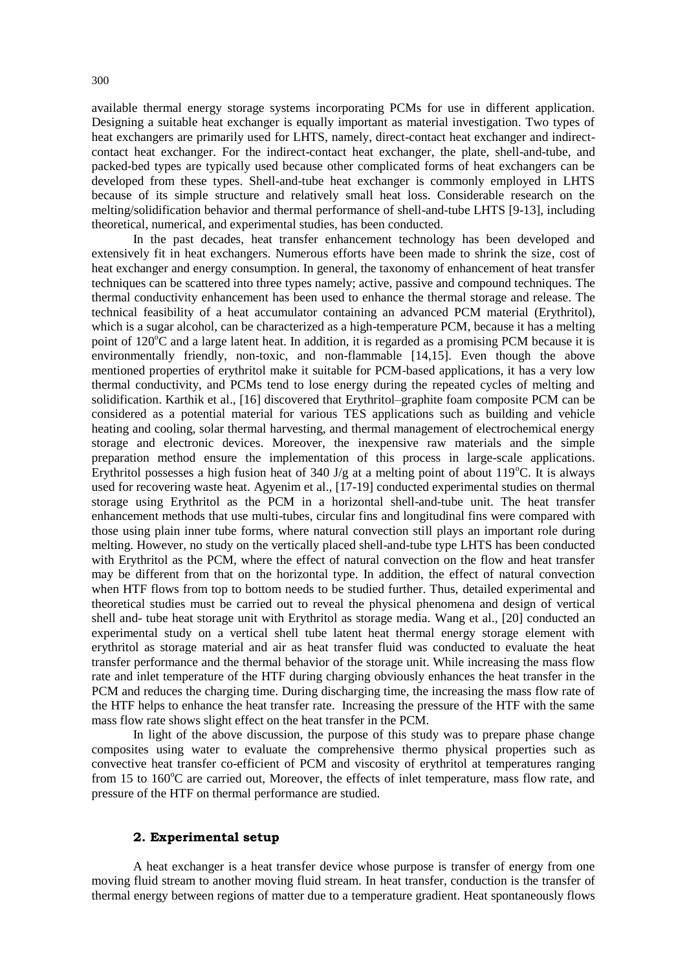available thermal energy storage systems incorporating PCMs for use in different application. Designing a suitable heat exchanger is equally important as material investigation. Two types of heat exchangers are primarily used for LHTS, namely, direct-contact heat exchanger and indirectcontact heat exchanger. For the indirect-contact heat exchanger, the plate, shell-and-tube, and packed-bed types are typically used because other complicated forms of heat exchangers can be developed from these types. Shell-and-tube heat exchanger is commonly employed in LHTS because of its simple structure and relatively small heat loss. Considerable research on the melting/solidification behavior and thermal performance of shell-and-tube LHTS [9-13], including theoretical, numerical, and experimental studies, has been conducted.

In the past decades, heat transfer enhancement technology has been developed and extensively fit in heat exchangers. Numerous efforts have been made to shrink the size, cost of heat exchanger and energy consumption. In general, the taxonomy of enhancement of heat transfer techniques can be scattered into three types namely; active, passive and compound techniques. The thermal conductivity enhancement has been used to enhance the thermal storage and release. The technical feasibility of a heat accumulator containing an advanced PCM material (Erythritol), which is a sugar alcohol, can be characterized as a high-temperature PCM, because it has a melting point of  $120^{\circ}$ C and a large latent heat. In addition, it is regarded as a promising PCM because it is environmentally friendly, non-toxic, and non-flammable [14,15]. Even though the above mentioned properties of erythritol make it suitable for PCM-based applications, it has a very low thermal conductivity, and PCMs tend to lose energy during the repeated cycles of melting and solidification. Karthik et al., [16] discovered that Erythritol–graphite foam composite PCM can be considered as a potential material for various TES applications such as building and vehicle heating and cooling, solar thermal harvesting, and thermal management of electrochemical energy storage and electronic devices. Moreover, the inexpensive raw materials and the simple preparation method ensure the implementation of this process in large-scale applications. Erythritol possesses a high fusion heat of 340 J/g at a melting point of about  $119^{\circ}$ C. It is always used for recovering waste heat. Agyenim et al., [17-19] conducted experimental studies on thermal storage using Erythritol as the PCM in a horizontal shell-and-tube unit. The heat transfer enhancement methods that use multi-tubes, circular fins and longitudinal fins were compared with those using plain inner tube forms, where natural convection still plays an important role during melting. However, no study on the vertically placed shell-and-tube type LHTS has been conducted with Erythritol as the PCM, where the effect of natural convection on the flow and heat transfer may be different from that on the horizontal type. In addition, the effect of natural convection when HTF flows from top to bottom needs to be studied further. Thus, detailed experimental and theoretical studies must be carried out to reveal the physical phenomena and design of vertical shell and- tube heat storage unit with Erythritol as storage media. Wang et al., [20] conducted an experimental study on a vertical shell tube latent heat thermal energy storage element with erythritol as storage material and air as heat transfer fluid was conducted to evaluate the heat transfer performance and the thermal behavior of the storage unit. While increasing the mass flow rate and inlet temperature of the HTF during charging obviously enhances the heat transfer in the PCM and reduces the charging time. During discharging time, the increasing the mass flow rate of the HTF helps to enhance the heat transfer rate. Increasing the pressure of the HTF with the same mass flow rate shows slight effect on the heat transfer in the PCM.

In light of the above discussion, the purpose of this study was to prepare phase change composites using water to evaluate the comprehensive thermo physical properties such as convective heat transfer co-efficient of PCM and viscosity of erythritol at temperatures ranging from 15 to  $160^{\circ}$ C are carried out, Moreover, the effects of inlet temperature, mass flow rate, and pressure of the HTF on thermal performance are studied.

## **2. Experimental setup**

A heat exchanger is a heat transfer device whose purpose is transfer of energy from one moving fluid stream to another moving fluid stream. In [heat transfer,](http://en.wikipedia.org/wiki/Heat_transfer) conduction is the transfer of [thermal energy](http://en.wikipedia.org/wiki/Thermal_energy) between regions of matter due to a [temperature gradient.](http://en.wikipedia.org/wiki/Temperature_gradient) Heat spontaneously flows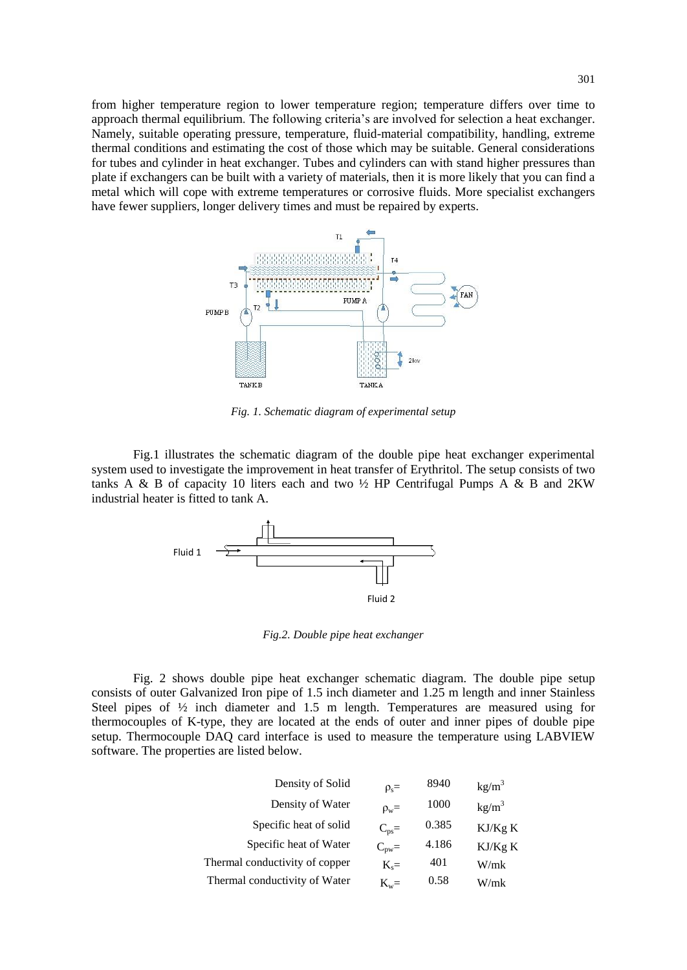from higher temperature region to lower temperature region; temperature differs over time to approach [thermal equilibrium.](http://en.wikipedia.org/wiki/Thermal_equilibrium) The following criteria's are involved for selection a heat exchanger. Namely, suitable operating pressure, temperature, fluid-material compatibility, handling, extreme thermal conditions and estimating the cost of those which may be suitable. General considerations for tubes and cylinder in heat exchanger. Tubes and cylinders can with stand higher pressures than plate if exchangers can be built with a variety of materials, then it is more likely that you can find a metal which will cope with extreme temperatures or corrosive fluids. More specialist exchangers have fewer suppliers, longer delivery times and must be repaired by experts.



*Fig. 1. Schematic diagram of experimental setup*

Fig.1 illustrates the schematic diagram of the double pipe heat exchanger experimental system used to investigate the improvement in heat transfer of Erythritol. The setup consists of two tanks A & B of capacity 10 liters each and two  $\frac{1}{2}$  HP Centrifugal Pumps A & B and 2KW industrial heater is fitted to tank A.



*Fig.2. Double pipe heat exchanger*

Fig. 2 shows double pipe heat exchanger schematic diagram. The double pipe setup consists of outer Galvanized Iron pipe of 1.5 inch diameter and 1.25 m length and inner Stainless Steel pipes of ½ inch diameter and 1.5 m length. Temperatures are measured using for thermocouples of K-type, they are located at the ends of outer and inner pipes of double pipe setup. Thermocouple DAQ card interface is used to measure the temperature using LABVIEW software. The properties are listed below.

| Density of Solid               | $\rho_s =$       | 8940  | $kg/m^3$          |
|--------------------------------|------------------|-------|-------------------|
| Density of Water               | $\rho_w =$       | 1000  | kg/m <sup>3</sup> |
| Specific heat of solid         | $C_{\text{ps}}=$ | 0.385 | KJ/Kg K           |
| Specific heat of Water         | $C_{\text{pw}}=$ | 4.186 | KJ/Kg K           |
| Thermal conductivity of copper | $K_s =$          | 401   | W/mk              |
| Thermal conductivity of Water  | $K_w =$          | 0.58  | W/mk              |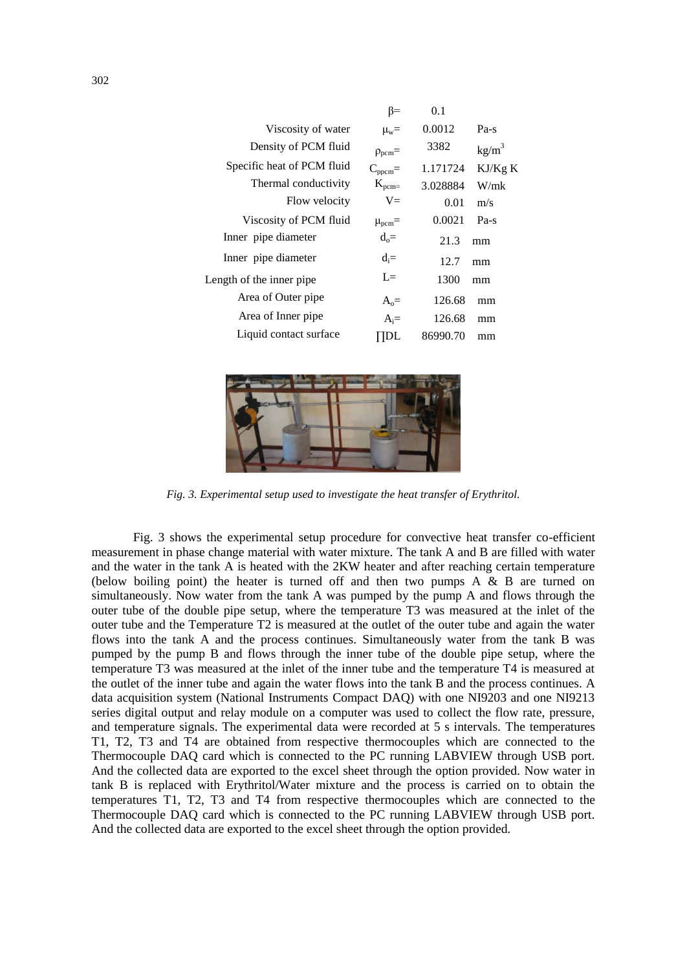|                            | ß=                    | 0.1      |                   |
|----------------------------|-----------------------|----------|-------------------|
| Viscosity of water         | $\mu_w =$             | 0.0012   | $Pa-s$            |
| Density of PCM fluid       | $\rho_{\text{perm}}=$ | 3382     | kg/m <sup>3</sup> |
| Specific heat of PCM fluid | $C_{\text{ppcm}}=$    | 1.171724 | KJ/Kg K           |
| Thermal conductivity       | $K_{\text{pcm} =}$    | 3.028884 | W/mk              |
| Flow velocity              | $V =$                 | 0.01     | m/s               |
| Viscosity of PCM fluid     | $\mu_{\text{ncm}}=$   | 0.0021   | $Pa-s$            |
| Inner pipe diameter        | $d_0 =$               | 21.3     | mm                |
| Inner pipe diameter        | $d_i =$               | 12.7     | mm                |
| Length of the inner pipe.  | $I =$                 | 1300     | mm                |
| Area of Outer pipe         | $A_0=$                | 126.68   | mm                |
| Area of Inner pipe         | $A_i =$               | 126.68   | mm                |
| Liquid contact surface     |                       | 86990.70 | mm                |



*Fig. 3. Experimental setup used to investigate the heat transfer of Erythritol.*

Fig. 3 shows the experimental setup procedure for convective heat transfer co-efficient measurement in phase change material with water mixture. The tank A and B are filled with water and the water in the tank A is heated with the 2KW heater and after reaching certain temperature (below boiling point) the heater is turned off and then two pumps A & B are turned on simultaneously. Now water from the tank A was pumped by the pump A and flows through the outer tube of the double pipe setup, where the temperature T3 was measured at the inlet of the outer tube and the Temperature T2 is measured at the outlet of the outer tube and again the water flows into the tank A and the process continues. Simultaneously water from the tank B was pumped by the pump B and flows through the inner tube of the double pipe setup, where the temperature T3 was measured at the inlet of the inner tube and the temperature T4 is measured at the outlet of the inner tube and again the water flows into the tank B and the process continues. A data acquisition system (National Instruments Compact DAQ) with one NI9203 and one NI9213 series digital output and relay module on a computer was used to collect the flow rate, pressure, and temperature signals. The experimental data were recorded at 5 s intervals. The temperatures T1, T2, T3 and T4 are obtained from respective thermocouples which are connected to the Thermocouple DAQ card which is connected to the PC running LABVIEW through USB port. And the collected data are exported to the excel sheet through the option provided. Now water in tank B is replaced with Erythritol/Water mixture and the process is carried on to obtain the temperatures T1, T2, T3 and T4 from respective thermocouples which are connected to the Thermocouple DAQ card which is connected to the PC running LABVIEW through USB port. And the collected data are exported to the excel sheet through the option provided.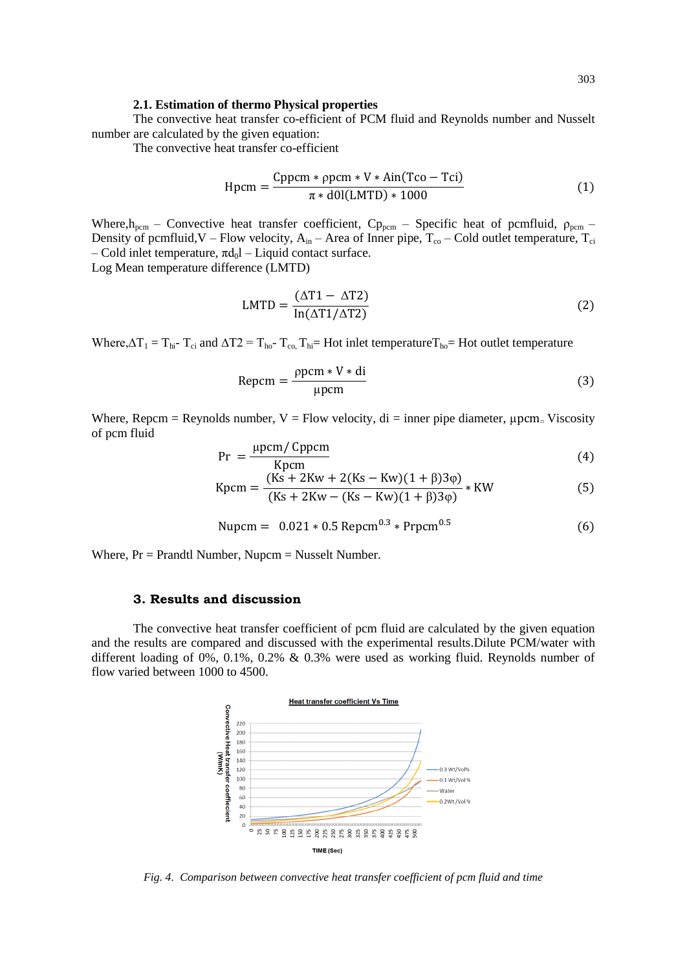#### **2.1. Estimation of thermo Physical properties**

The convective heat transfer co-efficient of PCM fluid and Reynolds number and Nusselt number are calculated by the given equation:

The convective heat transfer co-efficient

$$
Hpcm = \frac{Cppcm * ppcm * V * Ain(Tco - Tci)}{\pi * d0l(LMTD) * 1000}
$$
 (1)

Where,  $h_{\text{perm}}$  – Convective heat transfer coefficient, C<sub>p<sub>pcm</sub> – Specific heat of pcmfluid,  $\rho_{\text{perm}}$  –</sub> Density of pcmfluid, V – Flow velocity,  $A_{in}$  – Area of Inner pipe,  $T_{co}$  – Cold outlet temperature,  $T_{ci}$ – Cold inlet temperature,  $\pi d_0$ l – Liquid contact surface. Log Mean temperature difference (LMTD)

$$
LMTD = \frac{(\Delta T1 - \Delta T2)}{\ln(\Delta T1/\Delta T2)}
$$
 (2)

Where, $\Delta T_1 = T_{hi}$ - T<sub>ci</sub> and  $\Delta T_2 = T_{ho}$ - T<sub>co,</sub> T<sub>hi</sub>= Hot inlet temperatureT<sub>ho</sub>= Hot outlet temperature

$$
Repcm = \frac{\rho pcm * V * di}{\mu pcm}
$$
 (3)

Where, Repcm = Reynolds number,  $V = Flow$  velocity, di = inner pipe diameter,  $\mu$ pcm= Viscosity of pcm fluid

$$
Pr = \frac{\mu \text{pcm}}{K \text{pcm}} \tag{4}
$$

$$
Kpcm = \frac{(Ks + 2Kw + 2(Ks - Kw)(1 + \beta)3\varphi)}{(Ks + 2Kw - (Ks - Kw)(1 + \beta)3\varphi)} * KW
$$
 (5)

Nupcm = 
$$
0.021 * 0.5 \text{ Repcm}^{0.3} * \text{Prpcm}^{0.5}
$$
 (6)

Where,  $Pr = Prandtl$  Number, Nupcm = Nusselt Number.

### **3. Results and discussion**

The convective heat transfer coefficient of pcm fluid are calculated by the given equation and the results are compared and discussed with the experimental results.Dilute PCM/water with different loading of 0%, 0.1%, 0.2% & 0.3% were used as working fluid. Reynolds number of flow varied between 1000 to 4500.



*Fig. 4. Comparison between convective heat transfer coefficient of pcm fluid and time*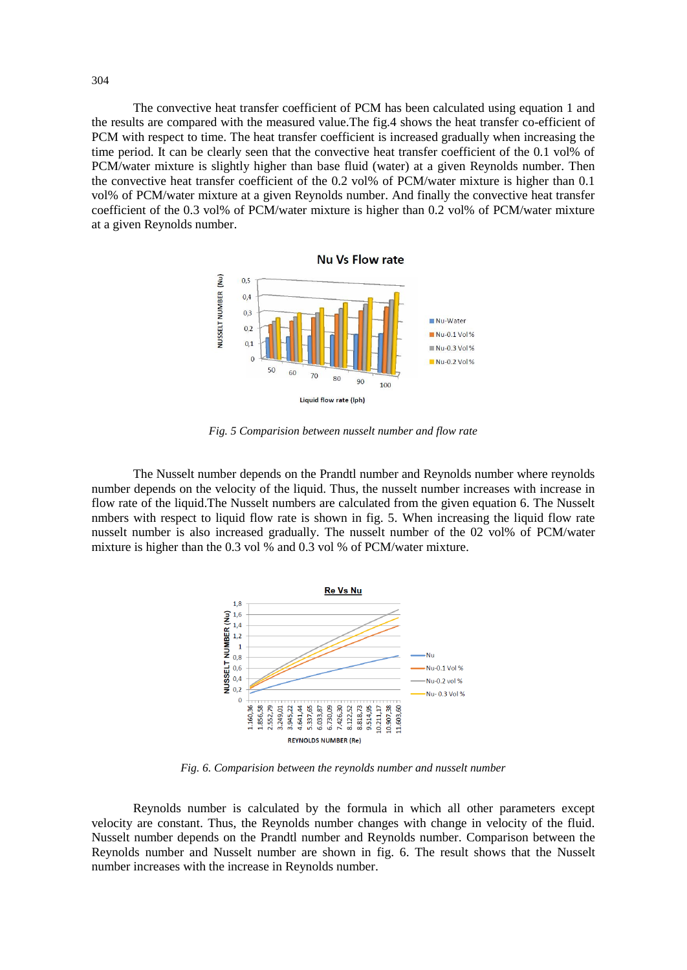The convective heat transfer coefficient of PCM has been calculated using equation 1 and the results are compared with the measured value.The fig.4 shows the heat transfer co-efficient of PCM with respect to time. The heat transfer coefficient is increased gradually when increasing the time period. It can be clearly seen that the convective heat transfer coefficient of the 0.1 vol% of PCM/water mixture is slightly higher than base fluid (water) at a given Reynolds number. Then the convective heat transfer coefficient of the 0.2 vol% of PCM/water mixture is higher than 0.1 vol% of PCM/water mixture at a given Reynolds number. And finally the convective heat transfer coefficient of the 0.3 vol% of PCM/water mixture is higher than 0.2 vol% of PCM/water mixture at a given Reynolds number.



*Fig. 5 Comparision between nusselt number and flow rate*

The Nusselt number depends on the Prandtl number and Reynolds number where reynolds number depends on the velocity of the liquid. Thus, the nusselt number increases with increase in flow rate of the liquid.The Nusselt numbers are calculated from the given equation 6. The Nusselt nmbers with respect to liquid flow rate is shown in fig. 5. When increasing the liquid flow rate nusselt number is also increased gradually. The nusselt number of the 02 vol% of PCM/water mixture is higher than the 0.3 vol % and 0.3 vol % of PCM/water mixture.



*Fig. 6. Comparision between the reynolds number and nusselt number*

Reynolds number is calculated by the formula in which all other parameters except velocity are constant. Thus, the Reynolds number changes with change in velocity of the fluid. Nusselt number depends on the Prandtl number and Reynolds number. Comparison between the Reynolds number and Nusselt number are shown in fig. 6. The result shows that the Nusselt number increases with the increase in Reynolds number.